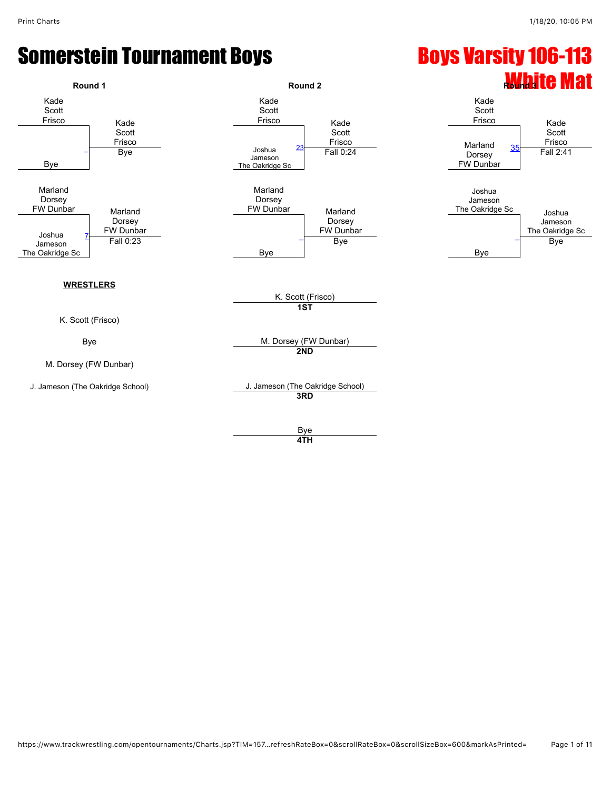#### Somerstein Tournament Boys National Boys Varsity 106-113

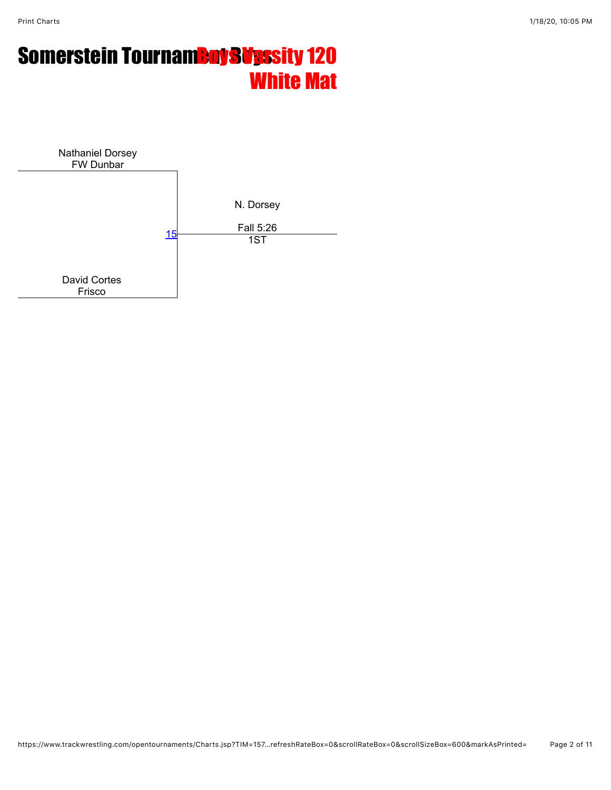## **Somerstein Tournam<mark>eny Sups</mark>sity 120** White Mat

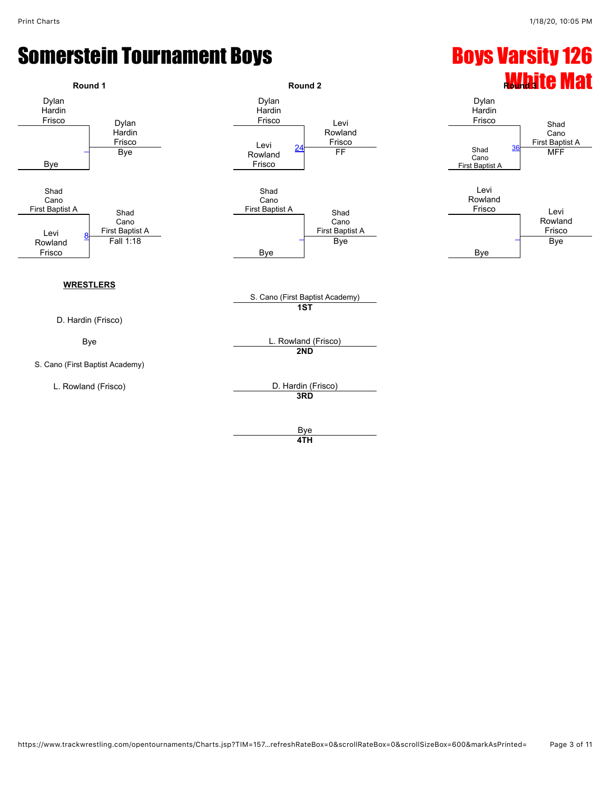

**4TH**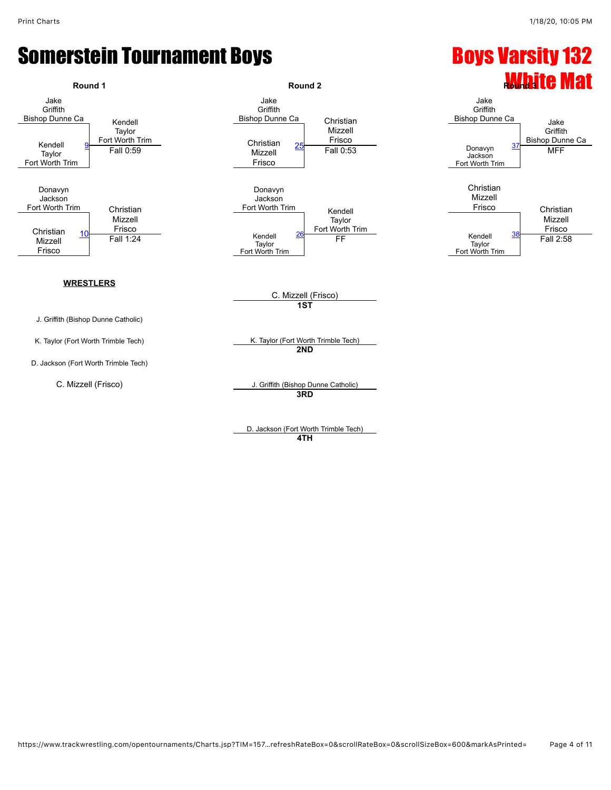

**4TH**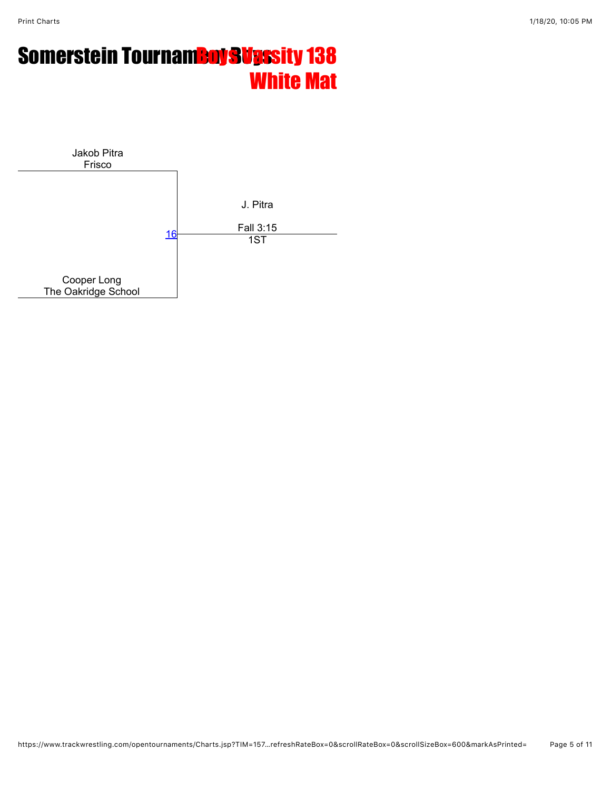## **Somerstein Tournam<mark>Boy Sups</mark>sity 138** White Mat

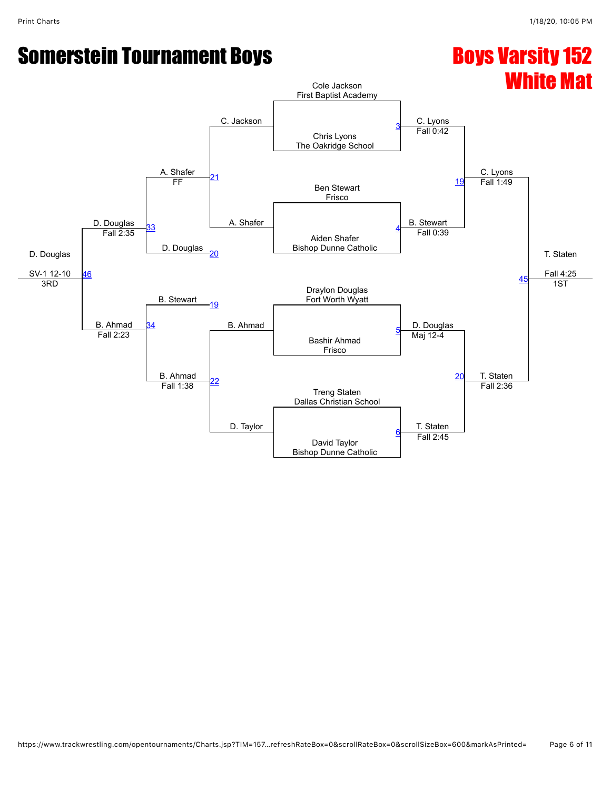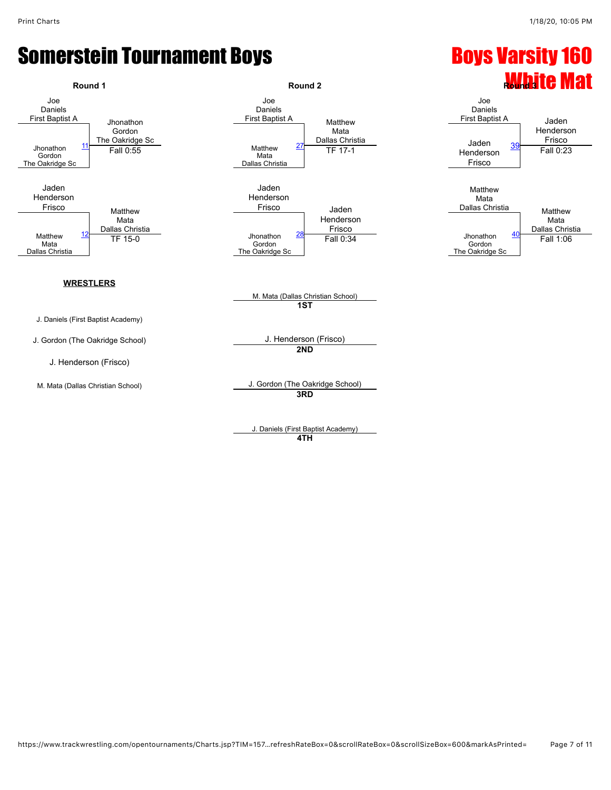

J. Daniels (First Baptist Academy) **4TH**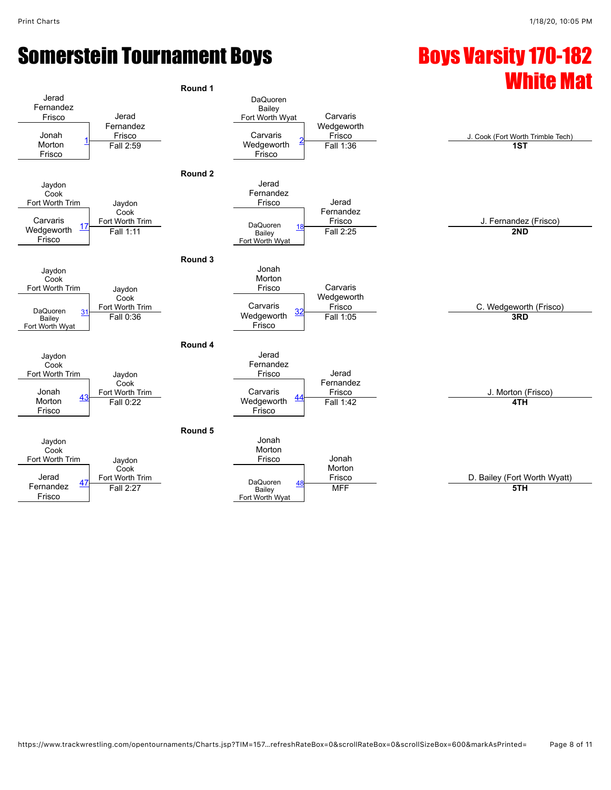### Somerstein Tournament Boys **Example 20 and Somerstein Tournament Boys** Somersity 170-182

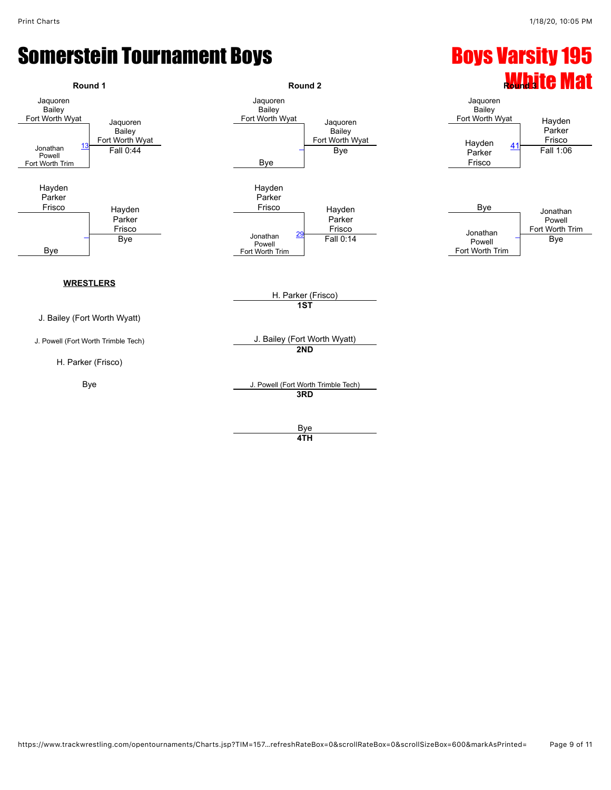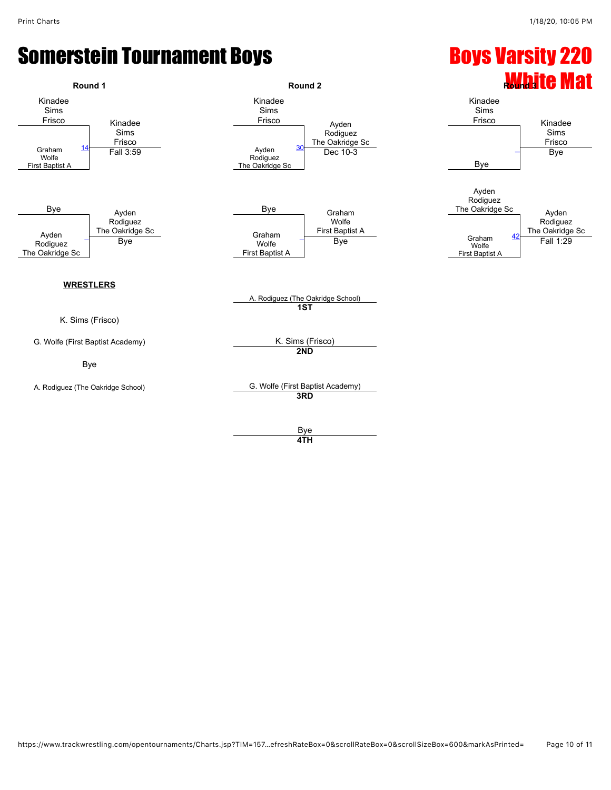#### Somerstein Tournament Boys **Example 220** Boys Varsity 220